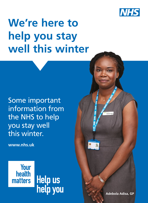

# **We're here to help you stay well this winter**

Some important information from the NHS to help you stay well this winter.

**www[.nhs.uk](https://www.nhs.uk/)**



**Adebola Adisa, GP**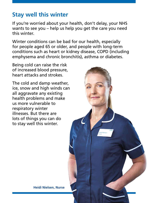# **Stay well this winter**

If you're worried about your health, don't delay, your NHS wants to see you – help us help you get the care you need this winter.

Winter conditions can be bad for our health, especially for people aged 65 or older, and people with long-term conditions such as heart or kidney disease, COPD (including emphysema and chronic bronchitis), asthma or diabetes.

Being cold can raise the risk of increased blood pressure, heart attacks and strokes.

The cold and damp weather, ice, snow and high winds can all aggravate any existing health problems and make us more vulnerable to respiratory winter illnesses. But there are lots of things you can do to stay well this winter.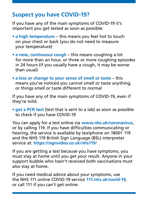# **Suspect you have COVID-19?**

If you have any of the main symptoms of COVID-19 it's important you get tested as soon as possible:

- **• a high temperature** this means you feel hot to touch on your chest or back (you do not need to measure your temperature)
- **• a new, continuous cough** this means coughing a lot for more than an hour, or three or more coughing episodes in 24 hours (if you usually have a cough, it may be worse than usual)
- **• a loss or change to your sense of smell or taste** this means you've noticed you cannot smell or taste anything, or things smell or taste different to normal

If you have any of the main symptoms of COVID-19, even if they're mild:

**• get a PCR test** (test that is sent to a lab) as soon as possible to check if you have COVID-19

You can apply for a test online via **[www.nhs.uk/coronavirus](https://www.nhs.uk/coronavirus)**, or by calling 119. If you have difficulties communicating or hearing, the service is available by textphone on 18001 119 and the NHS 119 British Sign Language (BSL) interpreter service at: **https://signvideo.co.uk/nhs119/**

If you are getting a test because you have symptoms, you must stay at home until you get your result. Anyone in your support bubble who hasn't received both vaccinations must also stay at home.

If you need medical advice about your symptoms, use the NHS 111 online COVID-19 service **[111.nhs.uk/covid-19](https://111.nhs.uk/covid-19)**, or call 111 if you can't get online.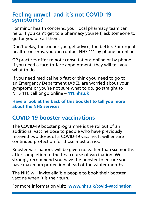#### **Feeling unwell and it's not COVID-19 symptoms?**

For minor health concerns, your local pharmacy team can help. If you can't get to a pharmacy yourself, ask someone to go for you or call them.

Don't delay, the sooner you get advice, the better. For urgent health concerns, you can contact NHS 111 by phone or online.

GP practices offer remote consultations online or by phone. If you need a face-to-face appointment, they will tell you what to do.

If you need medical help fast or think you need to go to an Emergency Department (A&E), are worried about your symptoms or you're not sure what to do, go straight to NHS 111, call or go online – **[111.nhs.uk](https://111.nhs.uk/)**

**Have a look at the back of this booklet to tell you more about the NHS services** 

# **COVID-19 booster vaccinations**

The COVID-19 booster programme is the rollout of an additional vaccine dose to people who have previously received two doses of a COVID-19 vaccine. It will ensure continued protection for those most at risk.

Booster vaccinations will be given no earlier than six months after completion of the first course of vaccination. We strongly recommend you have the booster to ensure you have maximum protection ahead of the winter months.

The NHS will invite eligible people to book their booster vaccine when it is their turn.

For more information visit: **[www.nhs.uk/covid-vaccination](https://www.nhs.uk/conditions/coronavirus-covid-19/coronavirus-vaccination/)**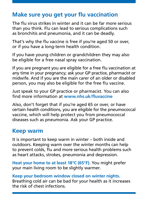# **Make sure you get your flu vaccination**

The flu virus strikes in winter and it can be far more serious than you think. Flu can lead to serious complications such as bronchitis and pneumonia, and it can be deadly.

That's why the flu vaccine is free if you're aged 50 or over, or if you have a long-term health condition.

If you have young children or grandchildren they may also be eligible for a free nasal spray vaccination.

If you are pregnant you are eligible for a free flu vaccination at any time in your pregnancy; ask your GP practice, pharmacist or midwife. And if you are the main carer of an older or disabled person, you may also be eligible for the free flu vaccine.

Just speak to your GP practice or pharmacist. You can also find more information at **[www.nhs.uk/fluvaccine](https://www.nhs.uk/conditions/vaccinations/flu-influenza-vaccine/)**

Also, don't forget that if you're aged 65 or over, or have certain health conditions, you are eligible for the pneumococcal vaccine, which will help protect you from pneumococcal diseases such as pneumonia. Ask your GP practice.

# **Keep warm**

It is important to keep warm in winter – both inside and outdoors. Keeping warm over the winter months can help to prevent colds, flu and more serious health problems such as heart attacks, strokes, pneumonia and depression.

**Heat your home to at least 18°C (65°F).** You might prefer your main living room to be slightly warmer.

**Keep your bedroom window closed on winter nights.** Breathing cold air can be bad for your health as it increases the risk of chest infections.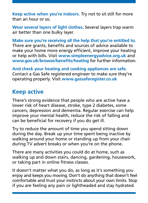**Keep active when you're indoors.** Try not to sit still for more than an hour or so.

**Wear several layers of light clothes.** Several layers trap warm air better than one bulky layer.

**Make sure you're receiving all the help that you're entitled to.** There are grants, benefits and sources of advice available to make your home more energy efficient, improve your heating or help with bills. Visit **[www.simpleenergyadvice.org.uk](https://www.simpleenergyadvice.org.uk/)** and **[www.gov.uk/browse/benefits/heating](https://www.gov.uk/browse/benefits/heating)** for further information.

**And check your heating and cooking appliances are safe.** Contact a Gas Safe registered engineer to make sure they're operating properly. Visit **[www.gassaferegister.co.uk](https://www.gassaferegister.co.uk/)**

# **Keep active**

There's strong evidence that people who are active have a lower risk of heart disease, stroke, type 2 diabetes, some cancers, depression and dementia. Regular exercise can help improve your mental health, reduce the risk of falling and can be beneficial for recovery if you do get ill.

Try to reduce the amount of time you spend sitting down during the day. Break up your time spent being inactive by walking around your home or standing up from your chair during TV advert breaks or when you're on the phone.

There are many activities you could do at home, such as walking up and down stairs, dancing, gardening, housework, or taking part in online fitness classes.

It doesn't matter what you do, as long as it's something you enjoy and keeps you moving. Don't do anything that doesn't feel comfortable and trust your instincts about your own limits. Stop if you are feeling any pain or lightheaded and stay hydrated.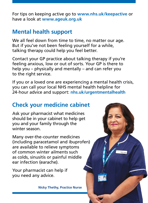For tips on keeping active go to **[www.nhs.uk/keepactive](https://www.nhs.uk/keepactive)** or have a look at **[www.ageuk.org.uk](https://www.ageuk.org.uk/)**

# **Mental health support**

We all feel down from time to time, no matter our age. But if you've not been feeling yourself for a while, talking therapy could help you feel better.

Contact your GP practice about talking therapy if you're feeling anxious, low or out of sorts. Your GP is there to help you – physically and mentally – and can refer you to the right service.

If you or a loved one are experiencing a mental health crisis, you can call your local NHS mental health helpline for 24-hour advice and support: **[nhs.uk/urgentmentalhealth](https://www.nhs.uk/mental-health/advice-for-life-situations-and-events/where-to-get-urgent-help-for-mental-health/)**

# **Check your medicine cabinet**

Ask your pharmacist what medicines should be in your cabinet to help get you and your family through the winter season.

Many over-the-counter medicines (including paracetamol and ibuprofen) are available to relieve symptoms of common winter ailments such as colds, sinusitis or painful middle ear infection (earache).

Your pharmacist can help if you need any advice.

**Nicky Thethy, Practice Nurse**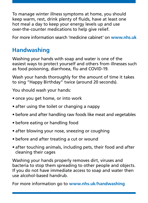To manage winter illness symptoms at home, you should keep warm, rest, drink plenty of fluids, have at least one hot meal a day to keep your energy levels up and use over-the-counter medications to help give relief.

For more information search 'medicine cabinet' on **[www.nhs.uk](http://www.nhs.uk/)**

# **Handwashing**

Washing your hands with soap and water is one of the easiest ways to protect yourself and others from illnesses such as food poisoning, diarrhoea, flu and COVID-19.

Wash your hands thoroughly for the amount of time it takes to sing "Happy Birthday" twice (around 20 seconds).

You should wash your hands:

- once you get home, or into work
- after using the toilet or changing a nappy
- before and after handling raw foods like meat and vegetables
- before eating or handling food
- after blowing your nose, sneezing or coughing
- before and after treating a cut or wound
- after touching animals, including pets, their food and after cleaning their cages

Washing your hands properly removes dirt, viruses and bacteria to stop them spreading to other people and objects. If you do not have immediate access to soap and water then use alcohol-based handrub.

For more information go to **[www.nhs.uk/handwashing](https://www.nhs.uk/handwashing)**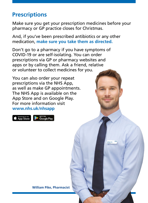# **Prescriptions**

Make sure you get your prescription medicines before your pharmacy or GP practice closes for Christmas.

And, if you've been prescribed antibiotics or any other medication, **make sure you take them as directed.**

Don't go to a pharmacy if you have symptoms of COVID-19 or are self-isolating. You can order prescriptions via GP or pharmacy websites and apps or by calling them. Ask a friend, relative or volunteer to collect medicines for you.

You can also order your repeat prescriptions via the NHS App, as well as make GP appointments. The NHS App is available on the App Store and on Google Play. For more information visit **[www.nhs.uk/nhsapp](https://www.nhs.uk/using-the-nhs/nhs-services/the-nhs-app/)**

Download on the<br>App Store



**William Pike, Pharmacist**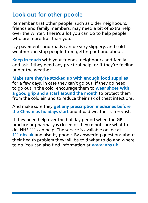# **Look out for other people**

Remember that other people, such as older neighbours, friends and family members, may need a bit of extra help over the winter. There's a lot you can do to help people who are more frail than you.

Icy pavements and roads can be very slippery, and cold weather can stop people from getting out and about.

**Keep in touch** with your friends, neighbours and family and ask if they need any practical help, or if they're feeling under the weather.

**Make sure they're stocked up with enough food supplies** for a few days, in case they can't go out. If they do need to go out in the cold, encourage them to **wear shoes with a good grip and a scarf around the mouth** to protect them from the cold air, and to reduce their risk of chest infections.

And make sure they **get any prescription medicines before the Christmas holidays start** and if bad weather is forecast.

If they need help over the holiday period when the GP practice or pharmacy is closed or they're not sure what to do, NHS 111 can help. The service is available online at **[111.nhs.uk](https://111.nhs.uk/)** and also by phone. By answering questions about their health problem they will be told what to do and where to go. You can also find information at **[www.nhs.uk](https://www.nhs.uk/)**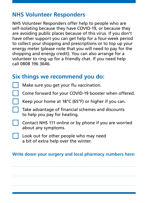# **NHS Volunteer Responders**

NHS Volunteer Responders offer help to people who are self-isolating because they have COVID-19, or because they are avoiding public places because of this virus. If you don't have other support you can get help for a four-week period to collect your shopping and prescriptions or to top up your energy meter (please note that you will need to pay for the shopping and energy credit). You can also arrange for a volunteer to ring up for a friendly chat. If you need help call 0808 196 3646.

# **Six things we recommend you do:**

Make sure you get your flu vaccination.

Come forward for your COVID-19 booster when offered.

Keep your home at 18°C (65°F) or higher if you can.

Take advantage of financial schemes and discounts to help you pay for heating.

Contact NHS 111 online or by phone if you are worried about any symptoms.

Look out for other people who may need a bit of extra help over the winter.

#### **Write down your surgery and local pharmacy numbers here:**